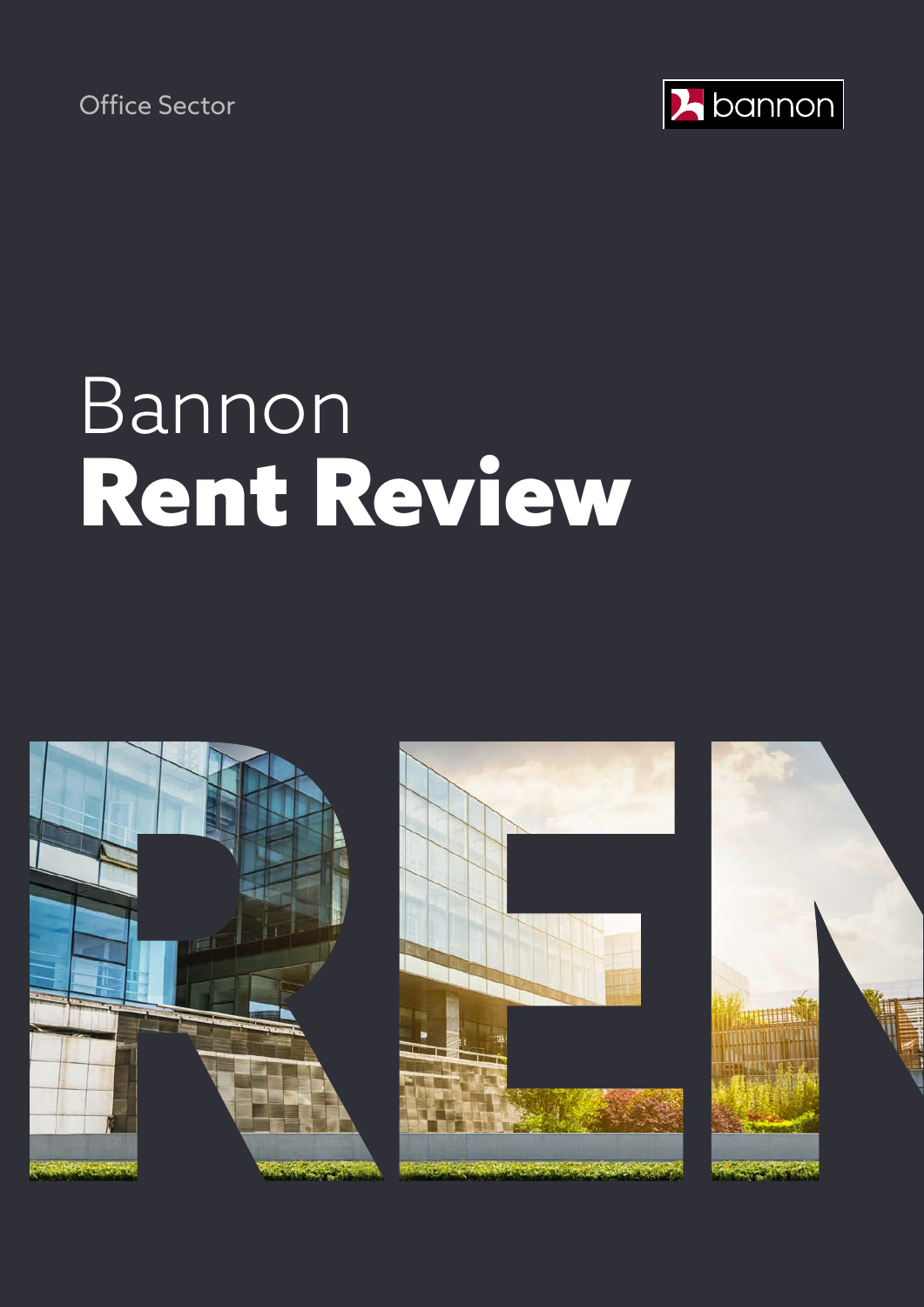Office Sector



# Bannon Rent Review





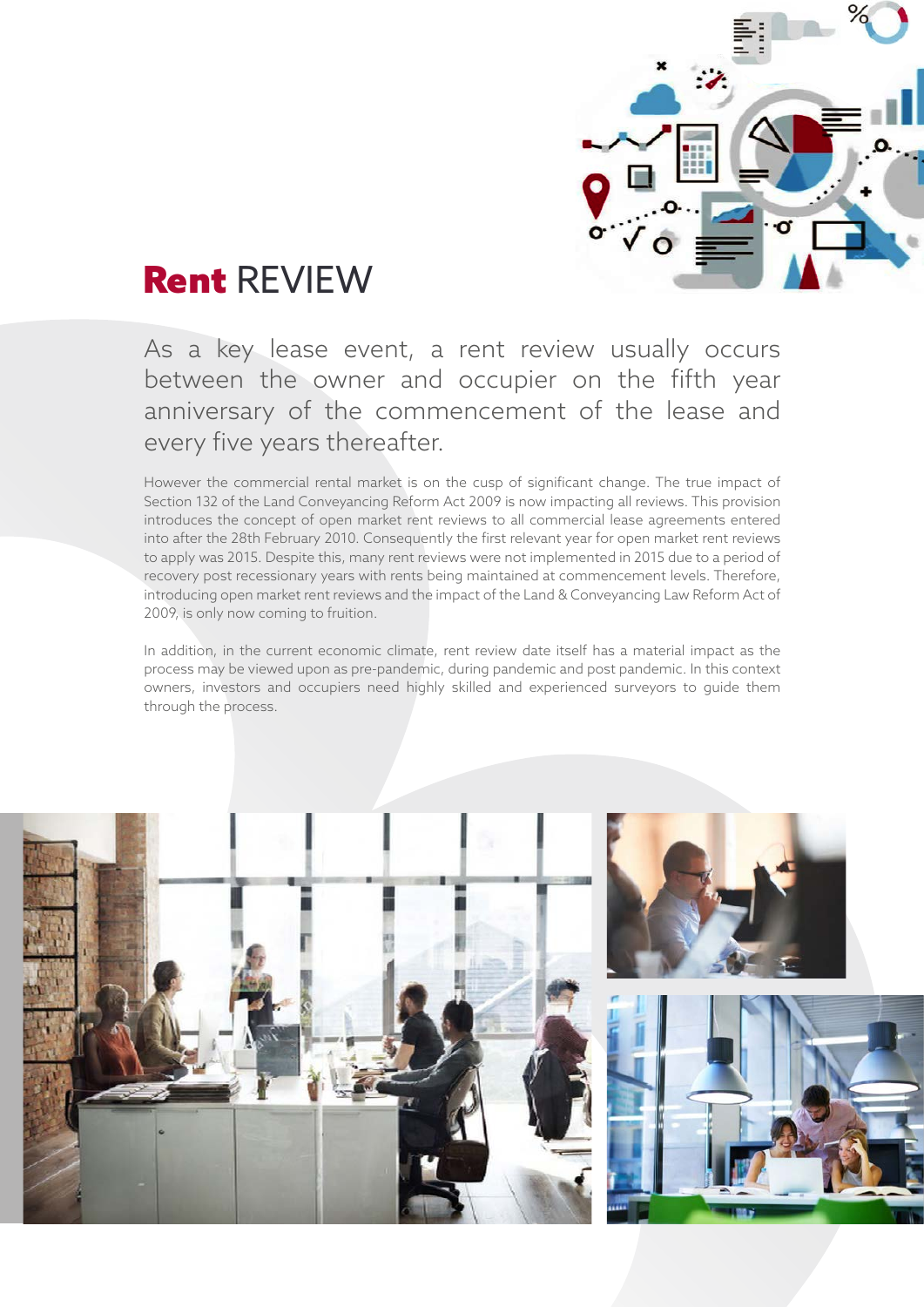

### Rent REVIEW

As a key lease event, a rent review usually occurs between the owner and occupier on the fifth year anniversary of the commencement of the lease and every five years thereafter.

However the commercial rental market is on the cusp of significant change. The true impact of Section 132 of the Land Conveyancing Reform Act 2009 is now impacting all reviews. This provision introduces the concept of open market rent reviews to all commercial lease agreements entered into after the 28th February 2010. Consequently the first relevant year for open market rent reviews to apply was 2015. Despite this, many rent reviews were not implemented in 2015 due to a period of recovery post recessionary years with rents being maintained at commencement levels. Therefore, introducing open market rent reviews and the impact of the Land & Conveyancing Law Reform Act of 2009, is only now coming to fruition.

In addition, in the current economic climate, rent review date itself has a material impact as the process may be viewed upon as pre-pandemic, during pandemic and post pandemic. In this context owners, investors and occupiers need highly skilled and experienced surveyors to guide them through the process.

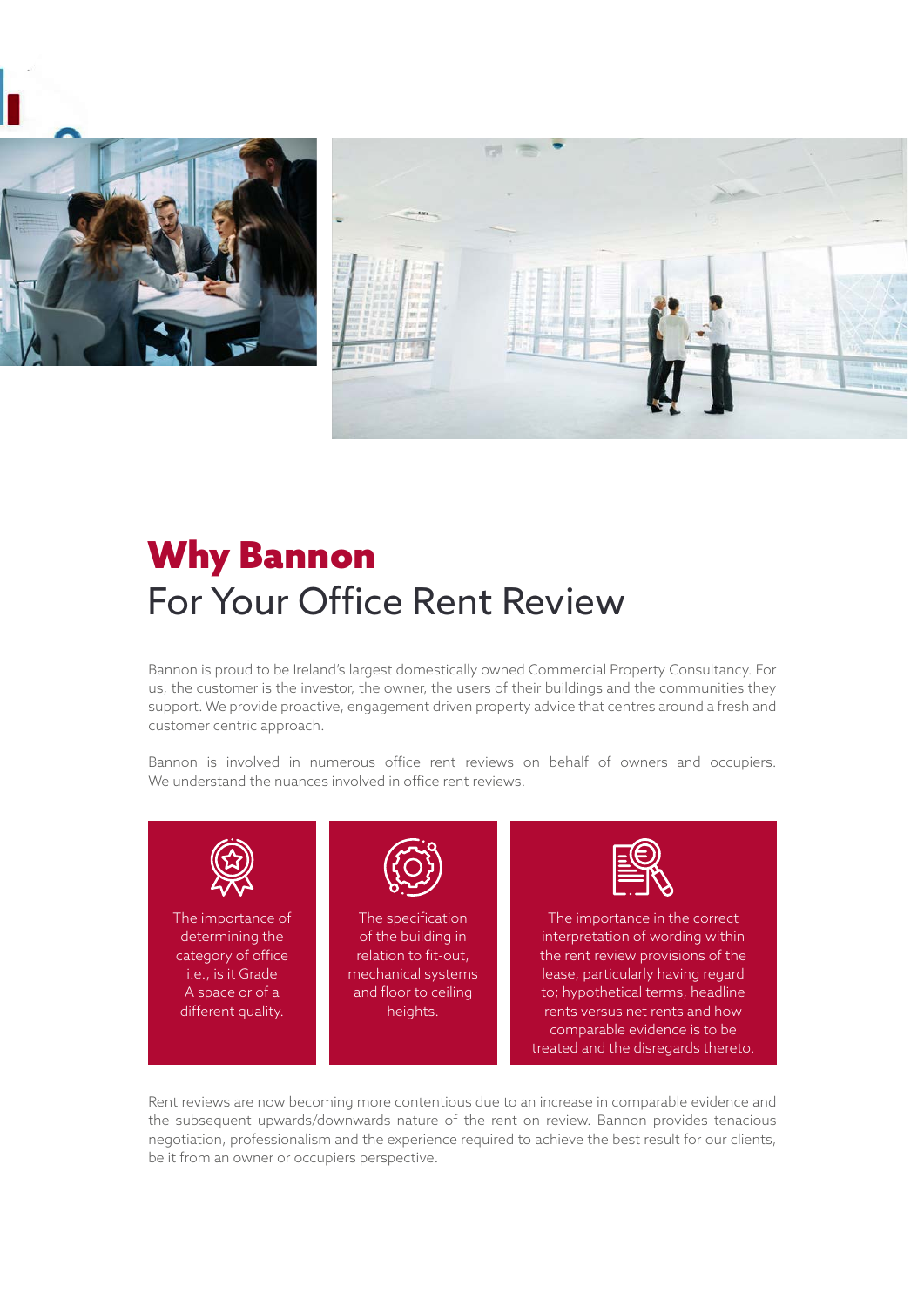



## Why Bannon For Your Office Rent Review

Bannon is proud to be Ireland's largest domestically owned Commercial Property Consultancy. For us, the customer is the investor, the owner, the users of their buildings and the communities they support. We provide proactive, engagement driven property advice that centres around a fresh and customer centric approach.

Bannon is involved in numerous office rent reviews on behalf of owners and occupiers. We understand the nuances involved in office rent reviews.



Rent reviews are now becoming more contentious due to an increase in comparable evidence and the subsequent upwards/downwards nature of the rent on review. Bannon provides tenacious negotiation, professionalism and the experience required to achieve the best result for our clients, be it from an owner or occupiers perspective.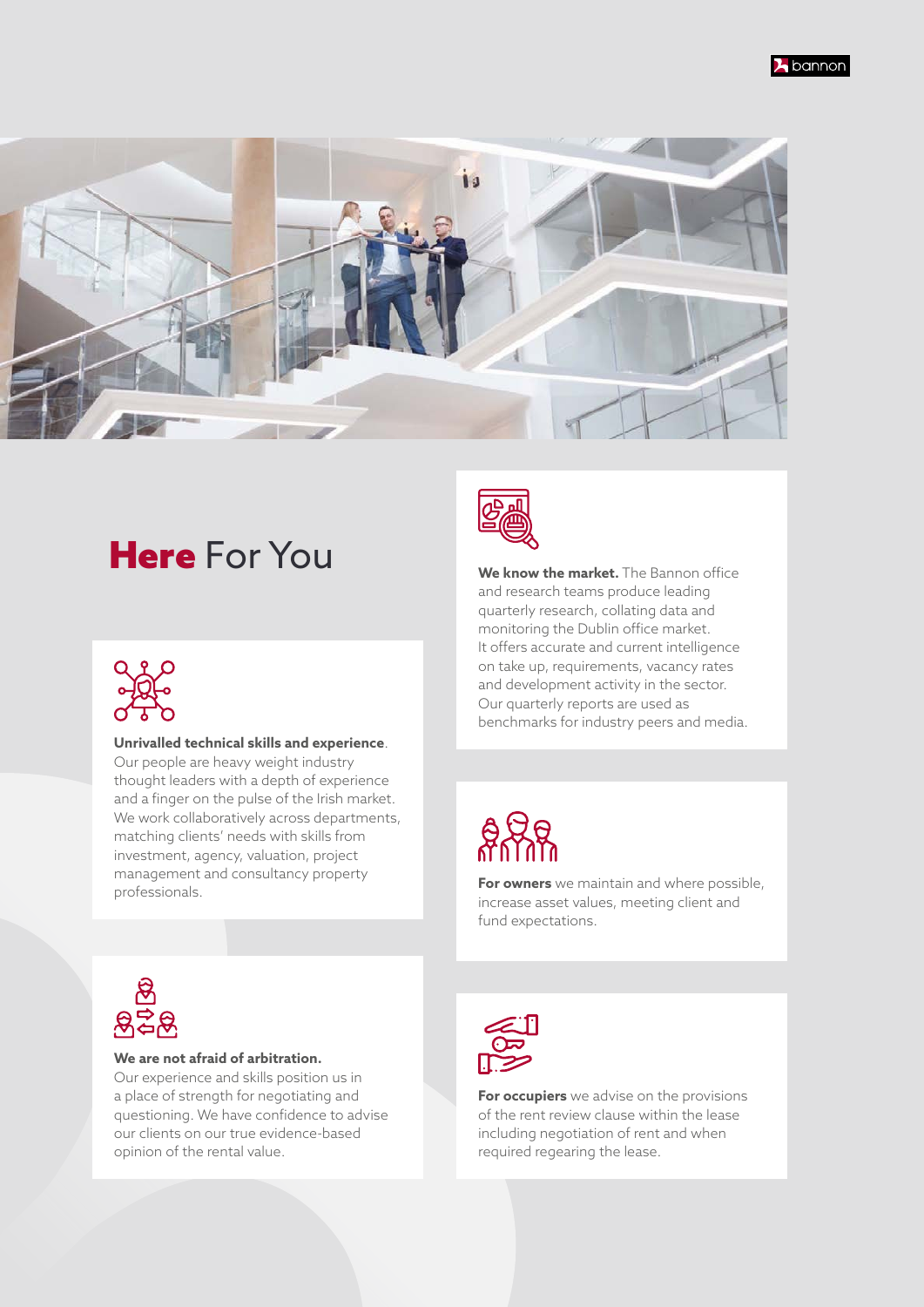

### **Here** For You **We know the market.** The Bannon office



#### **Unrivalled technical skills and experience**.

Our people are heavy weight industry thought leaders with a depth of experience and a finger on the pulse of the Irish market. We work collaboratively across departments, matching clients' needs with skills from investment, agency, valuation, project management and consultancy property professionals.



and research teams produce leading quarterly research, collating data and monitoring the Dublin office market. It offers accurate and current intelligence on take up, requirements, vacancy rates and development activity in the sector. Our quarterly reports are used as benchmarks for industry peers and media.



**For owners** we maintain and where possible, increase asset values, meeting client and fund expectations.



#### **We are not afraid of arbitration.**

Our experience and skills position us in a place of strength for negotiating and questioning. We have confidence to advise our clients on our true evidence-based opinion of the rental value.



**For occupiers** we advise on the provisions of the rent review clause within the lease including negotiation of rent and when required regearing the lease.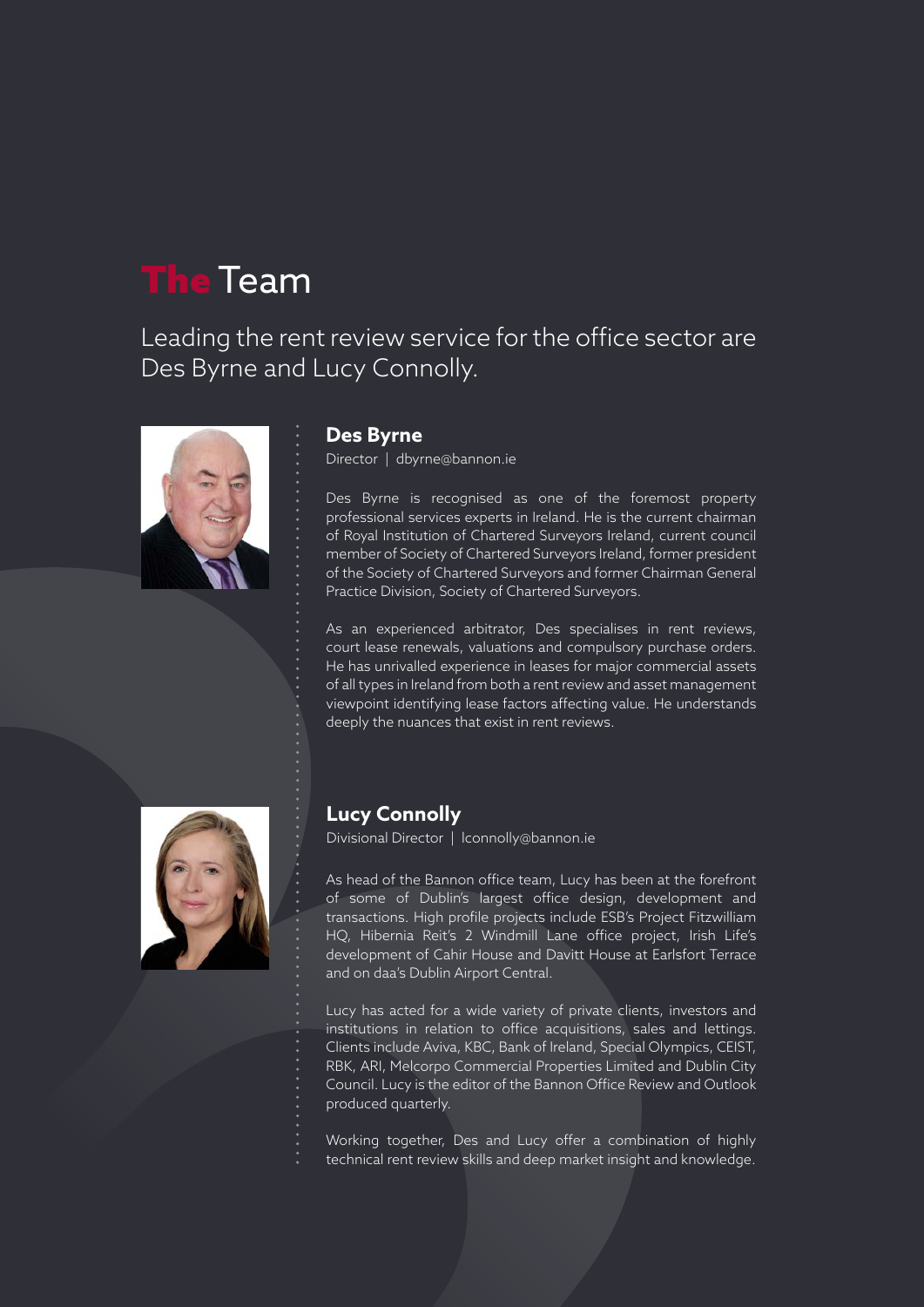### The Team

Leading the rent review service for the office sector are Des Byrne and Lucy Connolly.



#### **Des Byrne**

Director | dbyrne@bannon.ie

Des Byrne is recognised as one of the foremost property professional services experts in Ireland. He is the current chairman of Royal Institution of Chartered Surveyors Ireland, current council member of Society of Chartered Surveyors Ireland, former president of the Society of Chartered Surveyors and former Chairman General Practice Division, Society of Chartered Surveyors.

As an experienced arbitrator, Des specialises in rent reviews, court lease renewals, valuations and compulsory purchase orders. He has unrivalled experience in leases for major commercial assets of all types in Ireland from both a rent review and asset management viewpoint identifying lease factors affecting value. He understands deeply the nuances that exist in rent reviews.



### **Lucy Connolly**

Divisional Director | lconnolly@bannon.ie

As head of the Bannon office team, Lucy has been at the forefront of some of Dublin's largest office design, development and transactions. High profile projects include ESB's Project Fitzwilliam HQ, Hibernia Reit's 2 Windmill Lane office project, Irish Life's development of Cahir House and Davitt House at Earlsfort Terrace and on daa's Dublin Airport Central.

Lucy has acted for a wide variety of private clients, investors and institutions in relation to office acquisitions, sales and lettings. Clients include Aviva, KBC, Bank of Ireland, Special Olympics, CEIST, RBK, ARI, Melcorpo Commercial Properties Limited and Dublin City Council. Lucy is the editor of the Bannon Office Review and Outlook produced quarterly.

Working together, Des and Lucy offer a combination of highly technical rent review skills and deep market insight and knowledge.